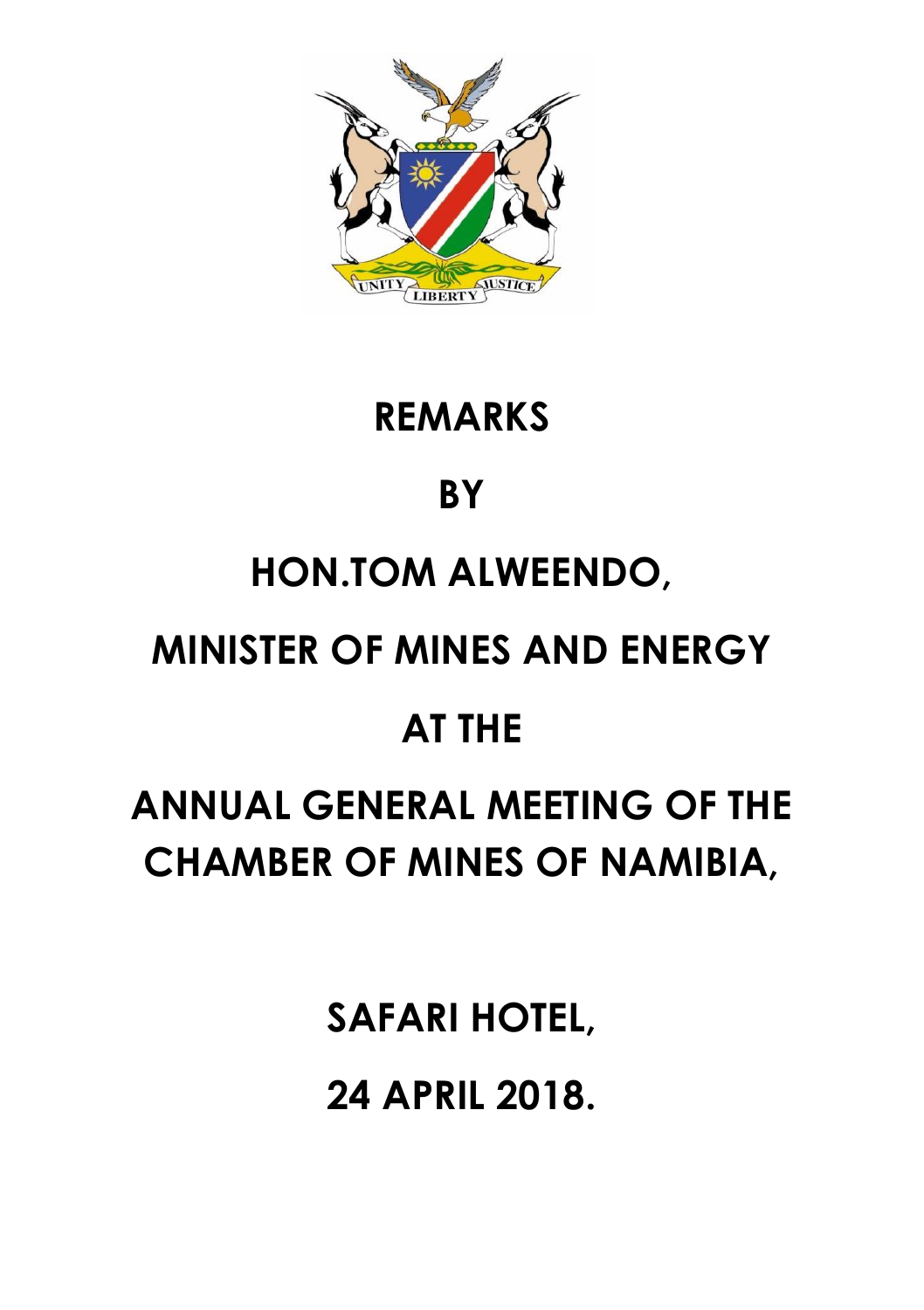

### **REMARKS**

# **BY**

# **HON.TOM ALWEENDO,**

### **MINISTER OF MINES AND ENERGY**

#### **AT THE**

# **ANNUAL GENERAL MEETING OF THE CHAMBER OF MINES OF NAMIBIA,**

**SAFARI HOTEL, 24 APRIL 2018.**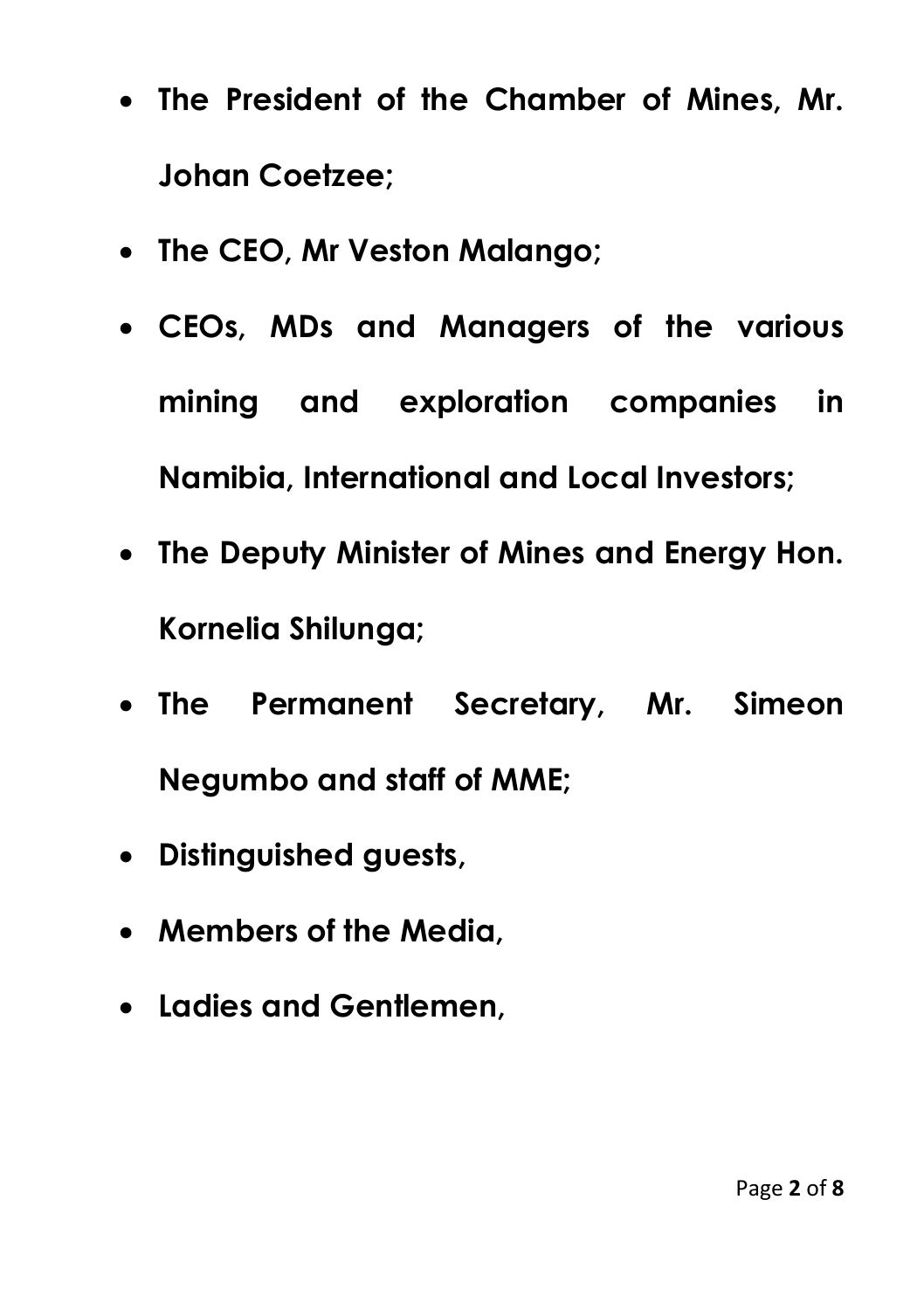- **The President of the Chamber of Mines, Mr. Johan Coetzee;**
- **The CEO, Mr Veston Malango;**
- **CEOs, MDs and Managers of the various mining and exploration companies in Namibia, International and Local Investors;**
- **The Deputy Minister of Mines and Energy Hon. Kornelia Shilunga;**
- **The Permanent Secretary, Mr. Simeon Negumbo and staff of MME;**
- **Distinguished guests,**
- **Members of the Media,**
- **Ladies and Gentlemen,**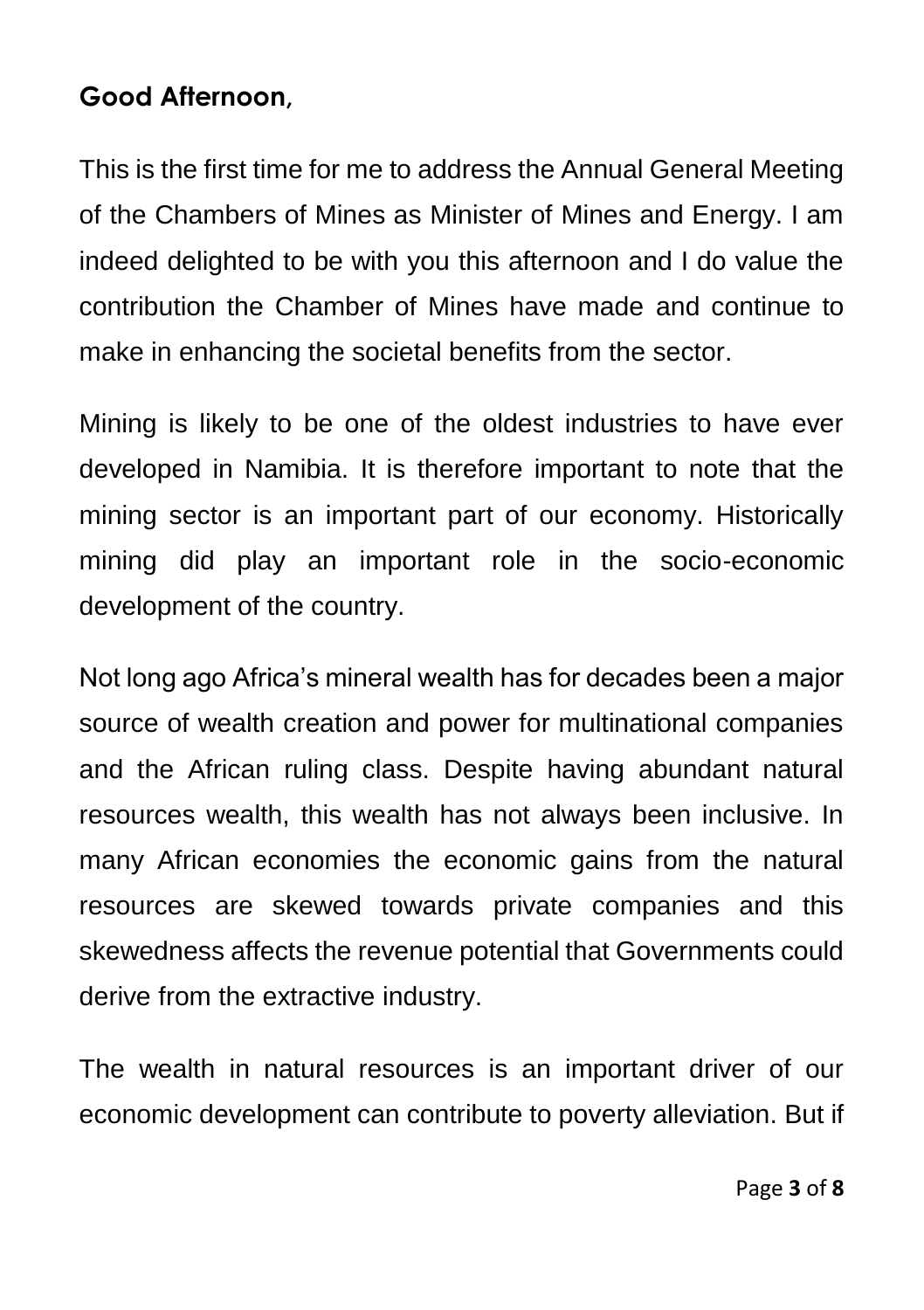#### **Good Afternoon,**

This is the first time for me to address the Annual General Meeting of the Chambers of Mines as Minister of Mines and Energy. I am indeed delighted to be with you this afternoon and I do value the contribution the Chamber of Mines have made and continue to make in enhancing the societal benefits from the sector.

Mining is likely to be one of the oldest industries to have ever developed in Namibia. It is therefore important to note that the mining sector is an important part of our economy. Historically mining did play an important role in the socio-economic development of the country.

Not long ago Africa's mineral wealth has for decades been a major source of wealth creation and power for multinational companies and the African ruling class. Despite having abundant natural resources wealth, this wealth has not always been inclusive. In many African economies the economic gains from the natural resources are skewed towards private companies and this skewedness affects the revenue potential that Governments could derive from the extractive industry.

The wealth in natural resources is an important driver of our economic development can contribute to poverty alleviation. But if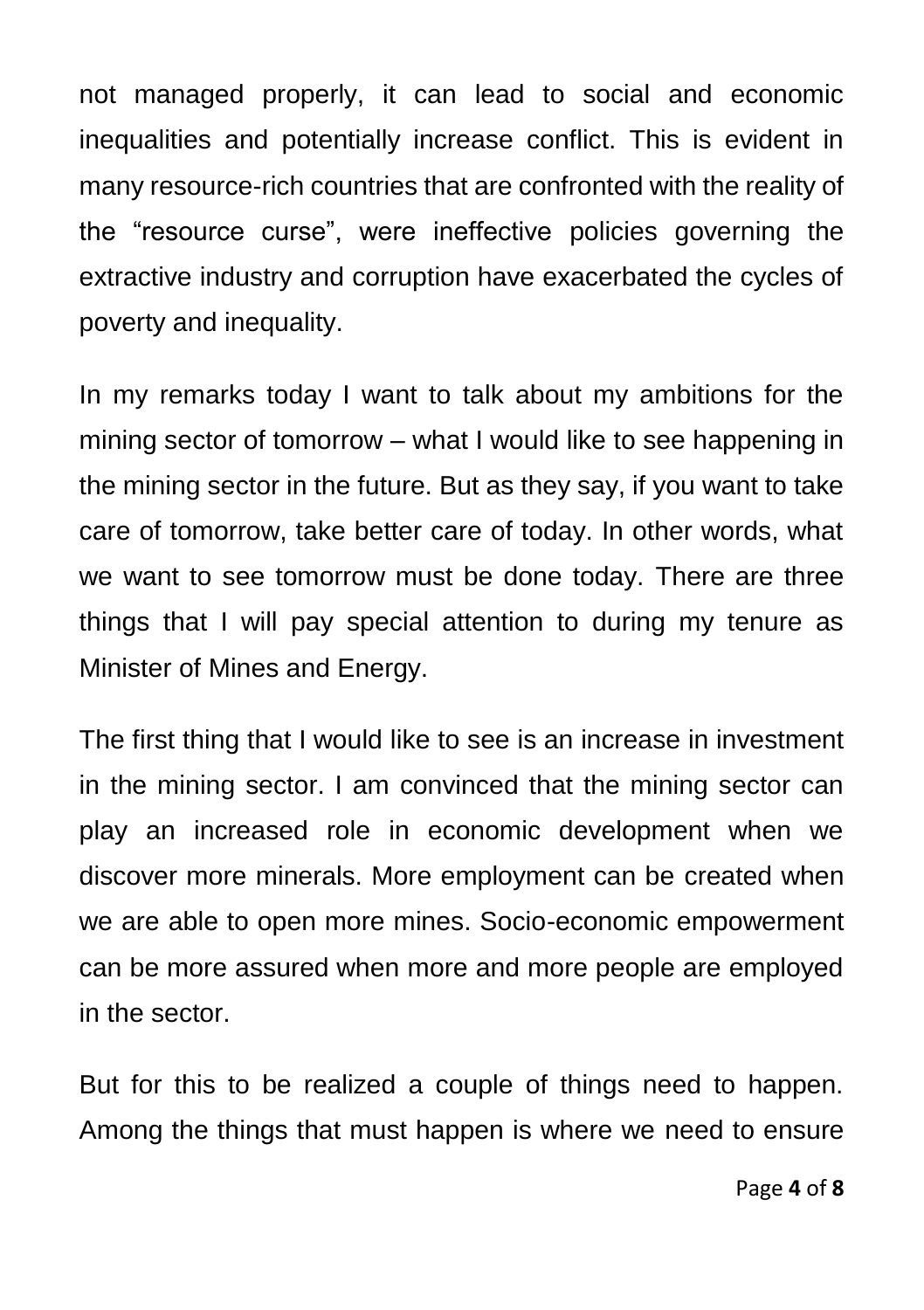not managed properly, it can lead to social and economic inequalities and potentially increase conflict. This is evident in many resource-rich countries that are confronted with the reality of the "resource curse", were ineffective policies governing the extractive industry and corruption have exacerbated the cycles of poverty and inequality.

In my remarks today I want to talk about my ambitions for the mining sector of tomorrow – what I would like to see happening in the mining sector in the future. But as they say, if you want to take care of tomorrow, take better care of today. In other words, what we want to see tomorrow must be done today. There are three things that I will pay special attention to during my tenure as Minister of Mines and Energy.

The first thing that I would like to see is an increase in investment in the mining sector. I am convinced that the mining sector can play an increased role in economic development when we discover more minerals. More employment can be created when we are able to open more mines. Socio-economic empowerment can be more assured when more and more people are employed in the sector.

But for this to be realized a couple of things need to happen. Among the things that must happen is where we need to ensure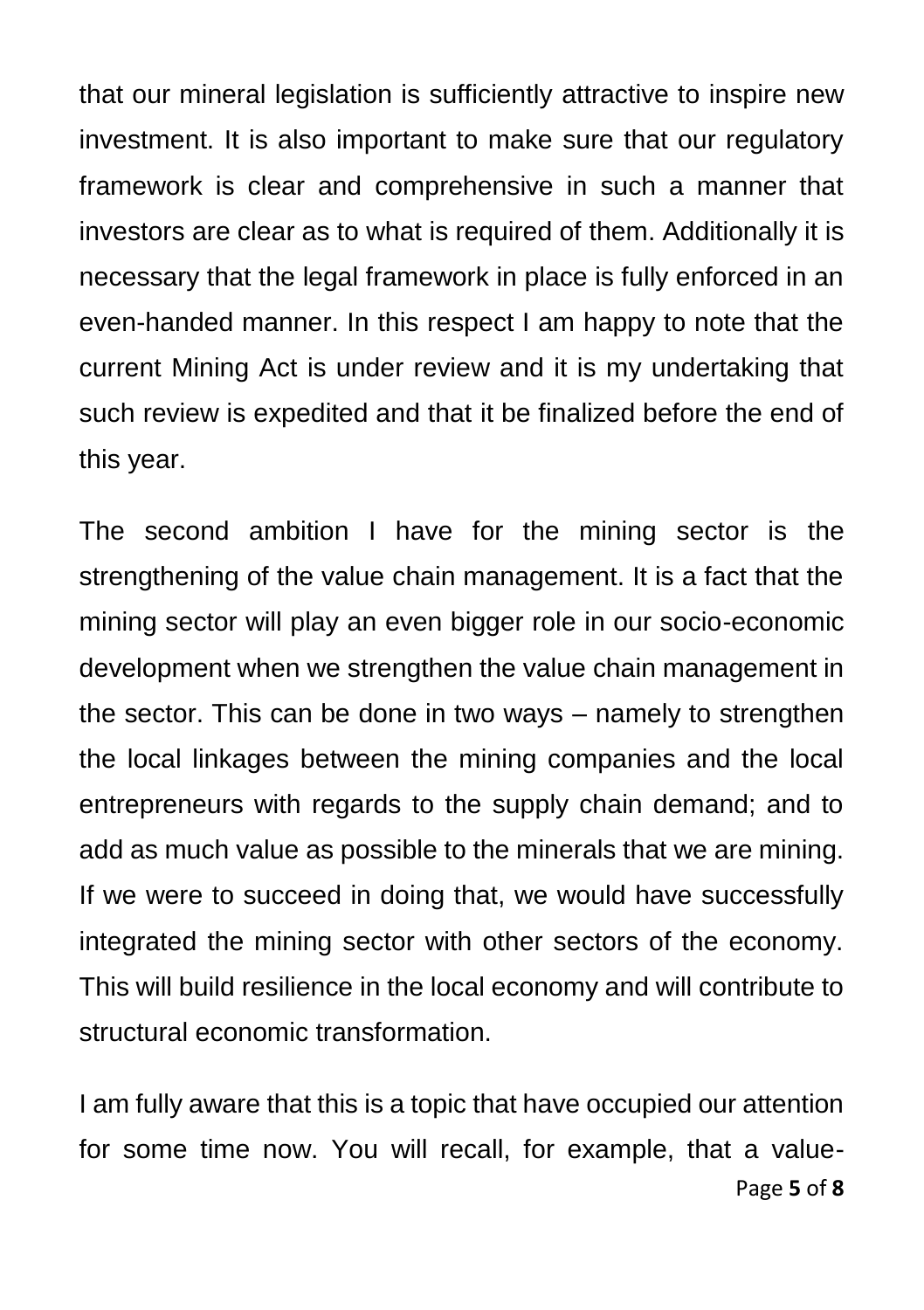that our mineral legislation is sufficiently attractive to inspire new investment. It is also important to make sure that our regulatory framework is clear and comprehensive in such a manner that investors are clear as to what is required of them. Additionally it is necessary that the legal framework in place is fully enforced in an even-handed manner. In this respect I am happy to note that the current Mining Act is under review and it is my undertaking that such review is expedited and that it be finalized before the end of this year.

The second ambition I have for the mining sector is the strengthening of the value chain management. It is a fact that the mining sector will play an even bigger role in our socio-economic development when we strengthen the value chain management in the sector. This can be done in two ways – namely to strengthen the local linkages between the mining companies and the local entrepreneurs with regards to the supply chain demand; and to add as much value as possible to the minerals that we are mining. If we were to succeed in doing that, we would have successfully integrated the mining sector with other sectors of the economy. This will build resilience in the local economy and will contribute to structural economic transformation.

Page **5** of **8** I am fully aware that this is a topic that have occupied our attention for some time now. You will recall, for example, that a value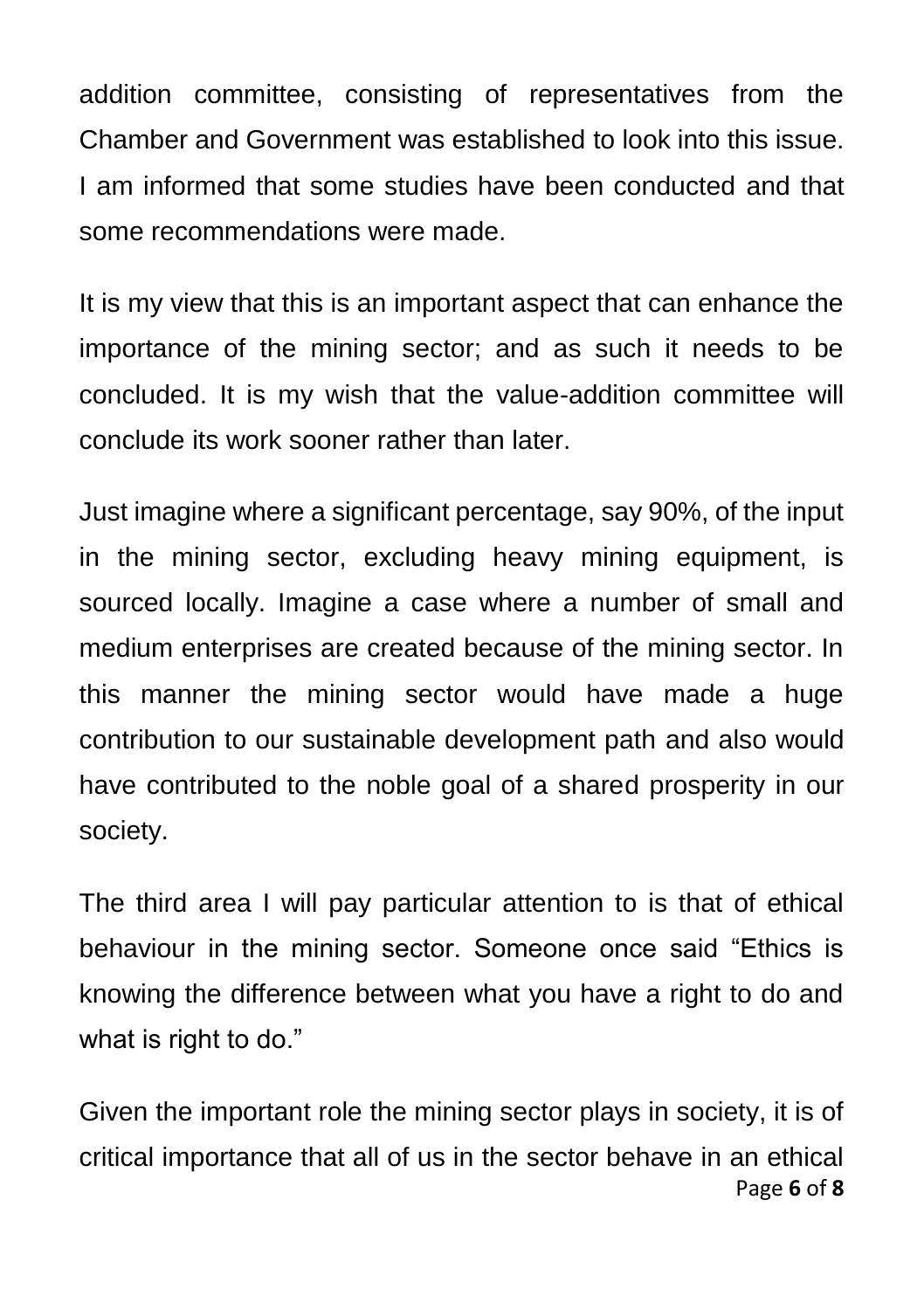addition committee, consisting of representatives from the Chamber and Government was established to look into this issue. I am informed that some studies have been conducted and that some recommendations were made.

It is my view that this is an important aspect that can enhance the importance of the mining sector; and as such it needs to be concluded. It is my wish that the value-addition committee will conclude its work sooner rather than later.

Just imagine where a significant percentage, say 90%, of the input in the mining sector, excluding heavy mining equipment, is sourced locally. Imagine a case where a number of small and medium enterprises are created because of the mining sector. In this manner the mining sector would have made a huge contribution to our sustainable development path and also would have contributed to the noble goal of a shared prosperity in our society.

The third area I will pay particular attention to is that of ethical behaviour in the mining sector. Someone once said "Ethics is knowing the difference between what you have a right to do and what is right to do."

Page **6** of **8** Given the important role the mining sector plays in society, it is of critical importance that all of us in the sector behave in an ethical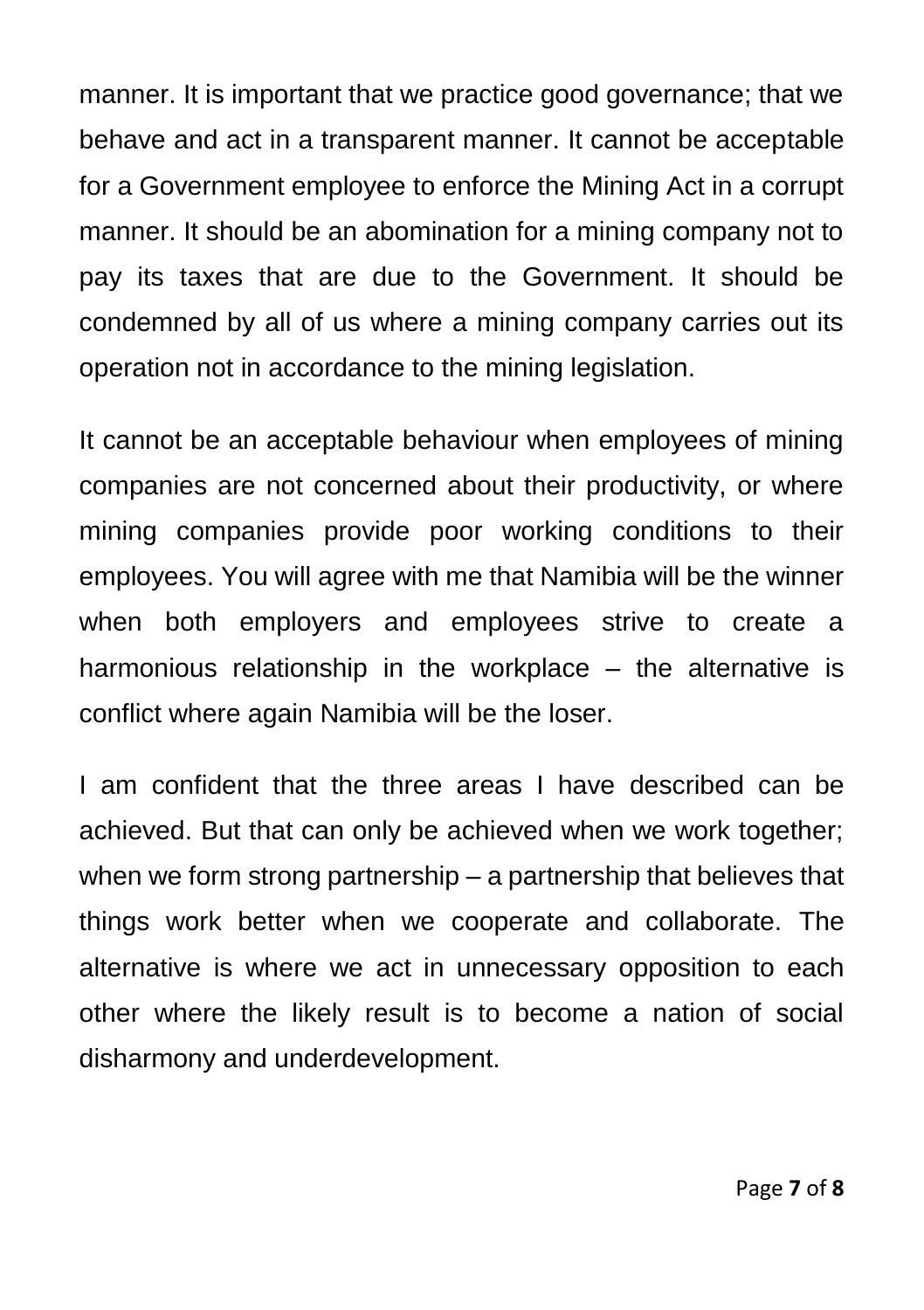manner. It is important that we practice good governance; that we behave and act in a transparent manner. It cannot be acceptable for a Government employee to enforce the Mining Act in a corrupt manner. It should be an abomination for a mining company not to pay its taxes that are due to the Government. It should be condemned by all of us where a mining company carries out its operation not in accordance to the mining legislation.

It cannot be an acceptable behaviour when employees of mining companies are not concerned about their productivity, or where mining companies provide poor working conditions to their employees. You will agree with me that Namibia will be the winner when both employers and employees strive to create a harmonious relationship in the workplace – the alternative is conflict where again Namibia will be the loser.

I am confident that the three areas I have described can be achieved. But that can only be achieved when we work together; when we form strong partnership – a partnership that believes that things work better when we cooperate and collaborate. The alternative is where we act in unnecessary opposition to each other where the likely result is to become a nation of social disharmony and underdevelopment.